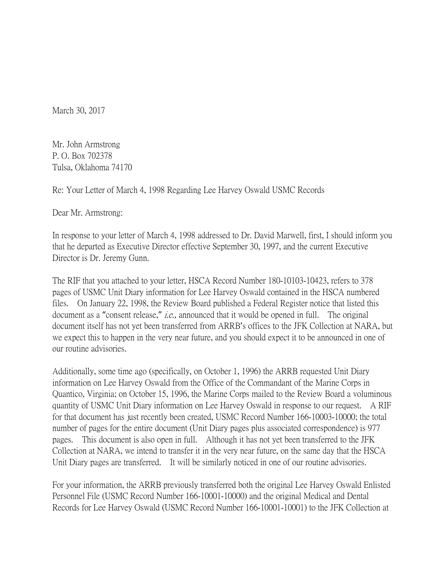March 30, 2017

Mr. John Armstrong P. O. Box 702378 Tulsa, Oklahoma 74170

Re: Your Letter of March 4, 1998 Regarding Lee Harvey Oswald USMC Records

Dear Mr. Armstrong:

In response to your letter of March 4, 1998 addressed to Dr. David Marwell, first, I should inform you that he departed as Executive Director effective September 30, 1997, and the current Executive Director is Dr. Jeremy Gunn.

The RIF that you attached to your letter, HSCA Record Number 180-10103-10423, refers to 378 pages of USMC Unit Diary information for Lee Harvey Oswald contained in the HSCA numbered files. On January 22, 1998, the Review Board published a Federal Register notice that listed this document as a "consent release," *i.e.*, announced that it would be opened in full. The original document itself has not yet been transferred from ARRB's offices to the JFK Collection at NARA, but we expect this to happen in the very near future, and you should expect it to be announced in one of our routine advisories.

Additionally, some time ago (specifically, on October 1, 1996) the ARRB requested Unit Diary information on Lee Harvey Oswald from the Office of the Commandant of the Marine Corps in Quantico, Virginia; on October 15, 1996, the Marine Corps mailed to the Review Board a voluminous quantity of USMC Unit Diary information on Lee Harvey Oswald in response to our request. A RIF for that document has just recently been created, USMC Record Number 166-10003-10000; the total number of pages for the entire document (Unit Diary pages plus associated correspondence) is 977 pages. This document is also open in full. Although it has not yet been transferred to the JFK Collection at NARA, we intend to transfer it in the very near future, on the same day that the HSCA Unit Diary pages are transferred. It will be similarly noticed in one of our routine advisories.

For your information, the ARRB previously transferred both the original Lee Harvey Oswald Enlisted Personnel File (USMC Record Number 166-10001-10000) and the original Medical and Dental Records for Lee Harvey Oswald (USMC Record Number 166-10001-10001) to the JFK Collection at